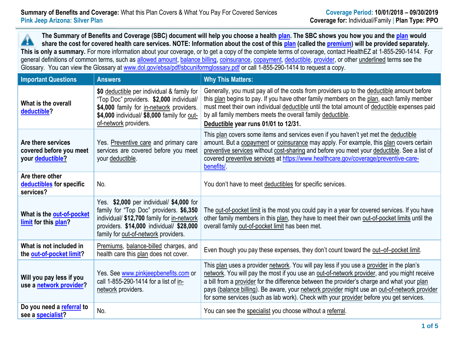**The Summary of Benefits and Coverage (SBC) document will help you choose a health [plan.](https://www.healthcare.gov/sbc-glossary/#plan) The SBC shows you how you and th[e plan](https://www.healthcare.gov/sbc-glossary/#plan) would** Â **share the cost for covered health care services. NOTE: Information about the cost of this [plan](https://www.healthcare.gov/sbc-glossary/#plan) (called the [premium\)](https://www.healthcare.gov/sbc-glossary/#premium) will be provided separately. This is only a summary.** For more information about your coverage, or to get a copy of the complete terms of coverage, contact HealthEZ at 1-855-290-1414. For general definitions of common terms, such as [allowed amount,](https://www.healthcare.gov/sbc-glossary/#allowed-amount) [balance billing,](https://www.healthcare.gov/sbc-glossary/#balance-billing) [coinsurance,](https://www.healthcare.gov/sbc-glossary/#coinsurance) [copayment,](https://www.healthcare.gov/sbc-glossary/#copayment) [deductible,](https://www.healthcare.gov/sbc-glossary/#deductible) [provider,](https://www.healthcare.gov/sbc-glossary/#provider) or other underlined terms see the Glossary. You can view the Glossary at [www.dol.gov/ebsa/pdf/sbcuniformglossary.pdf](http://www.dol.gov/ebsa/pdf/sbcuniformglossary.pdf) or call 1-855-290-1414 to request a copy.

| <b>Important Questions</b>                                        | <b>Answers</b>                                                                                                                                                                                                        | <b>Why This Matters:</b>                                                                                                                                                                                                                                                                                                                                                                                                                                                         |
|-------------------------------------------------------------------|-----------------------------------------------------------------------------------------------------------------------------------------------------------------------------------------------------------------------|----------------------------------------------------------------------------------------------------------------------------------------------------------------------------------------------------------------------------------------------------------------------------------------------------------------------------------------------------------------------------------------------------------------------------------------------------------------------------------|
| What is the overall<br>deductible?                                | \$0 deductible per individual & family for<br>"Top Doc" providers. \$2,000 individual/<br>\$4,000 family for in-network providers.<br>\$4,000 individual/ \$8,000 family for out-<br>of-network providers.            | Generally, you must pay all of the costs from providers up to the deductible amount before<br>this plan begins to pay. If you have other family members on the plan, each family member<br>must meet their own individual deductible until the total amount of deductible expenses paid<br>by all family members meets the overall family deductible.<br>Deductible year runs 01/01 to 12/31.                                                                                    |
| Are there services<br>covered before you meet<br>your deductible? | Yes. Preventive care and primary care<br>services are covered before you meet<br>your deductible.                                                                                                                     | This plan covers some items and services even if you haven't yet met the deductible<br>amount. But a copayment or coinsurance may apply. For example, this plan covers certain<br>preventive services without cost-sharing and before you meet your deductible. See a list of<br>covered preventive services at https://www.healthcare.gov/coverage/preventive-care-<br>benefits/                                                                                                |
| Are there other<br>deductibles for specific<br>services?          | No.                                                                                                                                                                                                                   | You don't have to meet deductibles for specific services.                                                                                                                                                                                                                                                                                                                                                                                                                        |
| What is the out-of-pocket<br>limit for this plan?                 | Yes. \$2,000 per individual/ \$4,000 for<br>family for "Top Doc" providers. \$6,350<br>individual/ \$12,700 family for in-network<br>providers. \$14,000 individual/ \$28,000<br>family for out-of-network providers. | The out-of-pocket limit is the most you could pay in a year for covered services. If you have<br>other family members in this plan, they have to meet their own out-of-pocket limits until the<br>overall family out-of-pocket limit has been met.                                                                                                                                                                                                                               |
| What is not included in<br>the out-of-pocket limit?               | Premiums, balance-billed charges, and<br>health care this plan does not cover.                                                                                                                                        | Even though you pay these expenses, they don't count toward the out-of-pocket limit.                                                                                                                                                                                                                                                                                                                                                                                             |
| Will you pay less if you<br>use a network provider?               | Yes. See www.pinkjeepbenefits.com or<br>call 1-855-290-1414 for a list of in-<br>network providers.                                                                                                                   | This plan uses a provider network. You will pay less if you use a provider in the plan's<br>network. You will pay the most if you use an out-of-network provider, and you might receive<br>a bill from a provider for the difference between the provider's charge and what your plan<br>pays (balance billing). Be aware, your network provider might use an out-of-network provider<br>for some services (such as lab work). Check with your provider before you get services. |
| Do you need a referral to<br>see a specialist?                    | No.                                                                                                                                                                                                                   | You can see the specialist you choose without a referral.                                                                                                                                                                                                                                                                                                                                                                                                                        |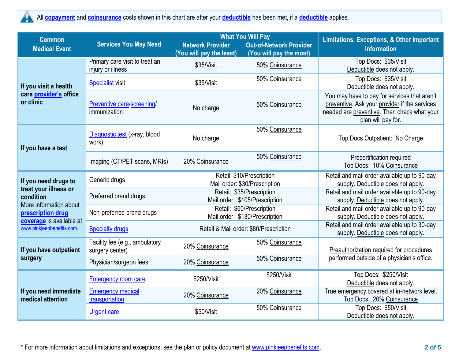## All **[copayment](https://www.healthcare.gov/sbc-glossary/#copayment)** and **[coinsurance](https://www.healthcare.gov/sbc-glossary/#coinsurance)** costs shown in this chart are after your **[deductible](https://www.healthcare.gov/sbc-glossary/#deductible)** has been met, if a **[deductible](https://www.healthcare.gov/sbc-glossary/#deductible)** applies.  $\blacktriangle$

| <b>Common</b>                                                           | <b>Services You May Need</b>                      |                                                             | <b>What You Will Pay</b>       | <b>Limitations, Exceptions, &amp; Other Important</b>                                                                                                              |  |
|-------------------------------------------------------------------------|---------------------------------------------------|-------------------------------------------------------------|--------------------------------|--------------------------------------------------------------------------------------------------------------------------------------------------------------------|--|
| <b>Medical Event</b>                                                    |                                                   | <b>Network Provider</b>                                     | <b>Out-of-Network Provider</b> | <b>Information</b>                                                                                                                                                 |  |
|                                                                         | Primary care visit to treat an                    | (You will pay the least)                                    | (You will pay the most)        | Top Docs: \$35/Visit                                                                                                                                               |  |
|                                                                         | injury or illness                                 | \$35/Visit                                                  | 50% Coinsurance                | Deductible does not apply.                                                                                                                                         |  |
|                                                                         | <b>Specialist visit</b>                           | \$35/Visit                                                  | 50% Coinsurance                | Top Docs: \$35/Visit                                                                                                                                               |  |
| If you visit a health                                                   |                                                   |                                                             |                                | Deductible does not apply.                                                                                                                                         |  |
| care provider's office<br>or clinic                                     | Preventive care/screening/<br>immunization        | No charge                                                   | 50% Coinsurance                | You may have to pay for services that aren't<br>preventive. Ask your provider if the services<br>needed are preventive. Then check what your<br>plan will pay for. |  |
|                                                                         | Diagnostic test (x-ray, blood<br>work)            |                                                             | 50% Coinsurance                | Top Docs Outpatient: No Charge                                                                                                                                     |  |
| If you have a test                                                      |                                                   | No charge                                                   |                                |                                                                                                                                                                    |  |
|                                                                         | Imaging (CT/PET scans, MRIs)                      | 20% Coinsurance                                             | 50% Coinsurance                | Precertification required<br>Top Docs: 10% Coinsurance                                                                                                             |  |
| If you need drugs to                                                    | Generic drugs                                     | Retail: \$10/Prescription<br>Mail order: \$30/Prescription  |                                | Retail and mail order available up to 90-day<br>supply. Deductible does not apply.                                                                                 |  |
| treat your illness or<br>condition                                      | Preferred brand drugs                             | Retail: \$35/Prescription<br>Mail order: \$105/Prescription |                                | Retail and mail order available up to 90-day<br>supply. Deductible does not apply.                                                                                 |  |
| More information about<br>prescription drug<br>coverage is available at | Non-preferred brand drugs                         | Retail: \$60/Prescription<br>Mail order: \$180/Prescription |                                | Retail and mail order available up to 90-day<br>supply. Deductible does not apply.                                                                                 |  |
| www.pinkjeepbenefits.com.                                               | <b>Specialty drugs</b>                            | Retail & Mail order: \$80/Prescription                      |                                | Retail and mail order available up to 30-day<br>supply. Deductible does not apply.                                                                                 |  |
| If you have outpatient                                                  | Facility fee (e.g., ambulatory<br>surgery center) | 20% Coinsurance                                             | 50% Coinsurance                | Preauthorization required for procedures                                                                                                                           |  |
| surgery                                                                 | Physician/surgeon fees                            | 20% Coinsurance                                             | 50% Coinsurance                | performed outside of a physician's office.                                                                                                                         |  |
|                                                                         | <b>Emergency room care</b>                        | \$250/Visit                                                 | \$250/Visit                    | Top Docs: \$250/Visit<br>Deductible does not apply.                                                                                                                |  |
| If you need immediate<br>medical attention                              | <b>Emergency medical</b><br>transportation        | 20% Coinsurance                                             | 20% Coinsurance                | True emergency covered at in-network level.<br>Top Docs: 20% Coinsurance                                                                                           |  |
|                                                                         | <b>Urgent care</b>                                | \$50/Visit                                                  | 50% Coinsurance                | Top Docs: \$50/Visit<br>Deductible does not apply.                                                                                                                 |  |

\* For more information about limitations and exceptions, see the plan or policy document at [www.pinkjeepbenefits.com.](http://www.pinkjeepbenefits.com/) **2 of 5**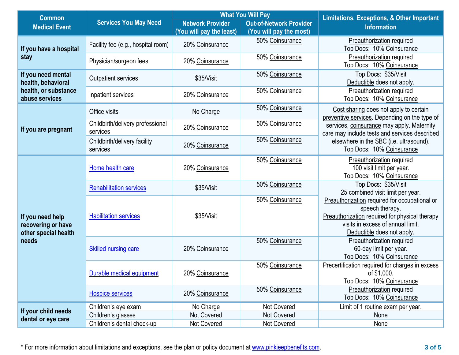| <b>Common</b>                             | <b>Services You May Need</b>       | <b>What You Will Pay</b> |                                | <b>Limitations, Exceptions, &amp; Other Important</b>                                                             |  |
|-------------------------------------------|------------------------------------|--------------------------|--------------------------------|-------------------------------------------------------------------------------------------------------------------|--|
| <b>Medical Event</b>                      |                                    | <b>Network Provider</b>  | <b>Out-of-Network Provider</b> | <b>Information</b>                                                                                                |  |
|                                           |                                    | (You will pay the least) | (You will pay the most)        |                                                                                                                   |  |
|                                           | Facility fee (e.g., hospital room) | 20% Coinsurance          | 50% Coinsurance                | <b>Preauthorization required</b>                                                                                  |  |
| If you have a hospital                    |                                    |                          |                                | Top Docs: 10% Coinsurance                                                                                         |  |
| stay                                      | Physician/surgeon fees             | 20% Coinsurance          | 50% Coinsurance                | <b>Preauthorization required</b>                                                                                  |  |
|                                           |                                    |                          |                                | Top Docs: 10% Coinsurance                                                                                         |  |
| If you need mental                        | Outpatient services                | \$35/Visit               | 50% Coinsurance                | Top Docs: \$35/Visit                                                                                              |  |
| health, behavioral                        |                                    |                          |                                | Deductible does not apply.                                                                                        |  |
| health, or substance<br>abuse services    | Inpatient services                 | 20% Coinsurance          | 50% Coinsurance                | Preauthorization required<br>Top Docs: 10% Coinsurance                                                            |  |
|                                           |                                    |                          | 50% Coinsurance                |                                                                                                                   |  |
|                                           | Office visits                      | No Charge                |                                | Cost sharing does not apply to certain<br>preventive services. Depending on the type of                           |  |
|                                           | Childbirth/delivery professional   |                          | 50% Coinsurance                | services, coinsurance may apply. Maternity                                                                        |  |
| If you are pregnant                       | services                           | 20% Coinsurance          |                                | care may include tests and services described                                                                     |  |
|                                           | Childbirth/delivery facility       | 20% Coinsurance          | 50% Coinsurance                | elsewhere in the SBC (i.e. ultrasound).<br>Top Docs: 10% Coinsurance                                              |  |
|                                           | services                           |                          |                                |                                                                                                                   |  |
|                                           | Home health care                   | 20% Coinsurance          | 50% Coinsurance                | <b>Preauthorization required</b>                                                                                  |  |
|                                           |                                    |                          |                                | 100 visit limit per year.                                                                                         |  |
|                                           |                                    |                          |                                | Top Docs: 10% Coinsurance                                                                                         |  |
|                                           | <b>Rehabilitation services</b>     | \$35/Visit               | 50% Coinsurance                | Top Docs: \$35/Visit                                                                                              |  |
|                                           |                                    |                          | 50% Coinsurance                | 25 combined visit limit per year.<br>Preauthorization required for occupational or                                |  |
|                                           | <b>Habilitation services</b>       | \$35/Visit               |                                | speech therapy.                                                                                                   |  |
| If you need help                          |                                    |                          |                                | Preauthorization required for physical therapy<br>visits in excess of annual limit.<br>Deductible does not apply. |  |
| recovering or have                        |                                    |                          |                                |                                                                                                                   |  |
| other special health                      |                                    |                          |                                |                                                                                                                   |  |
| needs                                     | <b>Skilled nursing care</b>        | 20% Coinsurance          | 50% Coinsurance                | <b>Preauthorization required</b>                                                                                  |  |
|                                           |                                    |                          |                                | 60-day limit per year.                                                                                            |  |
|                                           |                                    |                          |                                | Top Docs: 10% Coinsurance                                                                                         |  |
|                                           | <b>Durable medical equipment</b>   | 20% Coinsurance          | 50% Coinsurance                | Precertification required for charges in excess<br>of $$1,000$ .                                                  |  |
|                                           |                                    |                          |                                | Top Docs: 10% Coinsurance                                                                                         |  |
|                                           |                                    |                          | 50% Coinsurance                | Preauthorization required                                                                                         |  |
|                                           | <b>Hospice services</b>            | 20% Coinsurance          |                                | Top Docs: 10% Coinsurance                                                                                         |  |
|                                           | Children's eye exam                | No Charge                | Not Covered                    | Limit of 1 routine exam per year.                                                                                 |  |
| If your child needs<br>dental or eye care | Children's glasses                 | <b>Not Covered</b>       | Not Covered                    | None                                                                                                              |  |
|                                           | Children's dental check-up         | Not Covered              | Not Covered                    | None                                                                                                              |  |

\* For more information about limitations and exceptions, see the plan or policy document at [www.pinkjeepbenefits.com.](http://www.pinkjeepbenefits.com/) **3 of 5**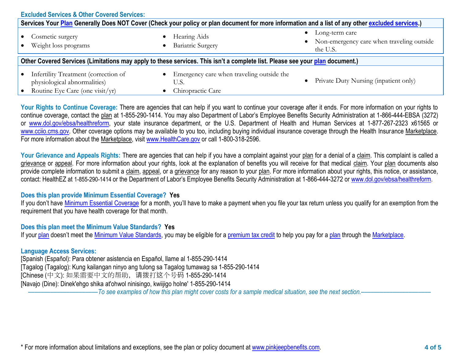|                                                                                                                                                  | <b>Excluded Services &amp; Other Covered Services:</b>                            |                                                   |                                                                           |  |
|--------------------------------------------------------------------------------------------------------------------------------------------------|-----------------------------------------------------------------------------------|---------------------------------------------------|---------------------------------------------------------------------------|--|
| Services Your Plan Generally Does NOT Cover (Check your policy or plan document for more information and a list of any other excluded services.) |                                                                                   |                                                   |                                                                           |  |
|                                                                                                                                                  | Cosmetic surgery<br>$\bullet$<br>Weight loss programs                             | Hearing Aids<br><b>Bariatric Surgery</b>          | Long-term care<br>• Non-emergency care when traveling outside<br>the U.S. |  |
| Other Covered Services (Limitations may apply to these services. This isn't a complete list. Please see your plan document.)                     |                                                                                   |                                                   |                                                                           |  |
|                                                                                                                                                  | Infertility Treatment (correction of<br>$\bullet$<br>physiological abnormalities) | Emergency care when traveling outside the<br>U.S. | Private Duty Nursing (inpatient only)                                     |  |
|                                                                                                                                                  | Routine Eye Care (one visit/yr)                                                   | Chiropractic Care                                 |                                                                           |  |

Your Rights to Continue Coverage: There are agencies that can help if you want to continue your coverage after it ends. For more information on your rights to continue coverage, contact the plan at 1-855-290-1414. You may also Department of Labor's Employee Benefits Security Administration at 1-866-444-EBSA (3272) or [www.dol.gov/ebsa/healthreform,](http://www.dol.gov/ebsa/healthreform) your state insurance department, or the U.S. Department of Health and Human Services at 1-877-267-2323 x61565 or [www.cciio.cms.gov.](http://www.cciio.cms.gov/) Other coverage options may be available to you too, including buying individual insurance coverage through the Health Insurance Marketplace. For more information about the Marketplace, visit [www.HealthCare.gov](http://www.healthcare.gov/) or call 1-800-318-2596.

Your Grievance and Appeals Rights: There are agencies that can help if you have a complaint against your plan for a denial of a claim. This complaint is called a grievance or appeal. For more information about your rights, look at the explanation of benefits you will receive for that medical claim. Your plan documents also provide complete information to submit a claim, appeal, or a grievance for any reason to your plan. For more information about your rights, this notice, or assistance, contact: HealthEZ at 1-855-290-1414 or the Department of Labor's Employee Benefits Security Administration at 1-866-444-3272 or [www.dol.gov/ebsa/healthreform.](http://www.dol.gov/ebsa/healthreform)

## **Does this plan provide Minimum Essential Coverage? Yes**

If you don't have [Minimum Essential Coverage](https://www.healthcare.gov/sbc-glossary/#minimum-essential-coverage) for a month, you'll have to make a payment when you file your tax return unless you qualify for an exemption from the requirement that you have health coverage for that month.

## **Does this plan meet the Minimum Value Standards? Yes**

If your [plan](https://www.healthcare.gov/sbc-glossary/#plan) doesn't meet the [Minimum Value Standards,](https://www.healthcare.gov/sbc-glossary/#minimum-value-standard) you may be eligible for a [premium tax credit](https://www.healthcare.gov/sbc-glossary/#premium-tax-credits) to help you pay for a plan through the [Marketplace.](https://www.healthcare.gov/sbc-glossary/#marketplace)

## **Language Access Services:**

[Spanish (Español): Para obtener asistencia en Español, llame al 1-855-290-1414 [Tagalog (Tagalog): Kung kailangan ninyo ang tulong sa Tagalog tumawag sa 1-855-290-1414 [Chinese (中文): 如果需要中文的帮助,请拨打这个号码 1-855-290-1414 [Navajo (Dine): Dinek'ehgo shika at'ohwol ninisingo, kwiijigo holne' 1-855-290-1414

––––––––––––––––––––––*To see examples of how this plan might cover costs for a sample medical situation, see the next section.–––––––––––*–––––––––––

\* For more information about limitations and exceptions, see the plan or policy document at [www.pinkjeepbenefits.com.](http://www.pinkjeepbenefits.com/) **4 of 5**